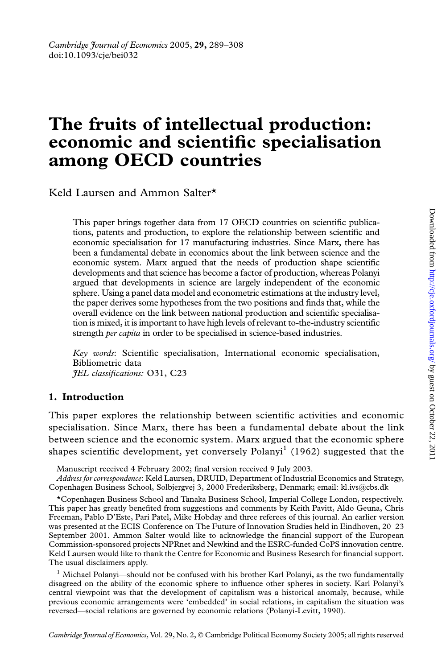# The fruits of intellectual production: economic and scientific specialisation among OECD countries

Keld Laursen and Ammon Salter\*

This paper brings together data from 17 OECD countries on scientific publications, patents and production, to explore the relationship between scientific and economic specialisation for 17 manufacturing industries. Since Marx, there has been a fundamental debate in economics about the link between science and the economic system. Marx argued that the needs of production shape scientific developments and that science has become a factor of production, whereas Polanyi argued that developments in science are largely independent of the economic sphere. Using a panel data model and econometric estimations at the industry level, the paper derives some hypotheses from the two positions and finds that, while the overall evidence on the link between national production and scientific specialisation is mixed, it is important to have high levels of relevant to-the-industry scientific strength *per capita* in order to be specialised in science-based industries.

Key words: Scientific specialisation, International economic specialisation, Bibliometric data JEL classifications: O31, C23

## 1. Introduction

This paper explores the relationship between scientific activities and economic specialisation. Since Marx, there has been a fundamental debate about the link between science and the economic system. Marx argued that the economic sphere shapes scientific development, yet conversely Polanyi<sup>1</sup> (1962) suggested that the

Manuscript received 4 February 2002; final version received 9 July 2003.

Address for correspondence: Keld Laursen, DRUID, Department of Industrial Economics and Strategy, Copenhagen Business School, Solbjergvej 3, 2000 Frederiksberg, Denmark; email: kl.ivs@cbs.dk

\*Copenhagen Business School and Tanaka Business School, Imperial College London, respectively. This paper has greatly benefited from suggestions and comments by Keith Pavitt, Aldo Geuna, Chris Freeman, Pablo D'Este, Pari Patel, Mike Hobday and three referees of this journal. An earlier version was presented at the ECIS Conference on The Future of Innovation Studies held in Eindhoven, 20–23 September 2001. Ammon Salter would like to acknowledge the financial support of the European Commission-sponsored projects NPRnet and Newkind and the ESRC-funded CoPS innovation centre. Keld Laursen would like to thank the Centre for Economic and Business Research for financial support. The usual disclaimers apply.

 $<sup>1</sup>$  Michael Polanyi—should not be confused with his brother Karl Polanyi, as the two fundamentally</sup> disagreed on the ability of the economic sphere to influence other spheres in society. Karl Polanyi's central viewpoint was that the development of capitalism was a historical anomaly, because, while previous economic arrangements were 'embedded' in social relations, in capitalism the situation was reversed—social relations are governed by economic relations (Polanyi-Levitt, 1990).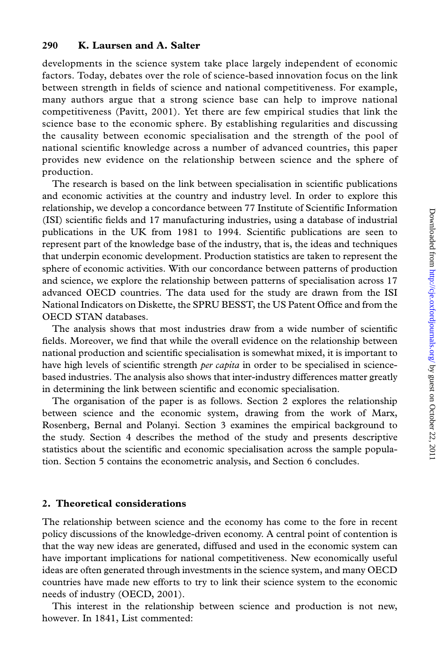developments in the science system take place largely independent of economic factors. Today, debates over the role of science-based innovation focus on the link between strength in fields of science and national competitiveness. For example, many authors argue that a strong science base can help to improve national competitiveness (Pavitt, 2001). Yet there are few empirical studies that link the science base to the economic sphere. By establishing regularities and discussing the causality between economic specialisation and the strength of the pool of national scientific knowledge across a number of advanced countries, this paper provides new evidence on the relationship between science and the sphere of production.

The research is based on the link between specialisation in scientific publications and economic activities at the country and industry level. In order to explore this relationship, we develop a concordance between 77 Institute of Scientific Information (ISI) scientific fields and 17 manufacturing industries, using a database of industrial publications in the UK from 1981 to 1994. Scientific publications are seen to represent part of the knowledge base of the industry, that is, the ideas and techniques that underpin economic development. Production statistics are taken to represent the sphere of economic activities. With our concordance between patterns of production and science, we explore the relationship between patterns of specialisation across 17 advanced OECD countries. The data used for the study are drawn from the ISI National Indicators on Diskette, the SPRU BESST, the US Patent Office and from the OECD STAN databases.

The analysis shows that most industries draw from a wide number of scientific fields. Moreover, we find that while the overall evidence on the relationship between national production and scientific specialisation is somewhat mixed, it is important to have high levels of scientific strength *per capita* in order to be specialised in sciencebased industries. The analysis also shows that inter-industry differences matter greatly in determining the link between scientific and economic specialisation.

The organisation of the paper is as follows. Section 2 explores the relationship between science and the economic system, drawing from the work of Marx, Rosenberg, Bernal and Polanyi. Section 3 examines the empirical background to the study. Section 4 describes the method of the study and presents descriptive statistics about the scientific and economic specialisation across the sample population. Section 5 contains the econometric analysis, and Section 6 concludes.

## 2. Theoretical considerations

The relationship between science and the economy has come to the fore in recent policy discussions of the knowledge-driven economy. A central point of contention is that the way new ideas are generated, diffused and used in the economic system can have important implications for national competitiveness. New economically useful ideas are often generated through investments in the science system, and many OECD countries have made new efforts to try to link their science system to the economic needs of industry (OECD, 2001).

This interest in the relationship between science and production is not new, however. In 1841, List commented: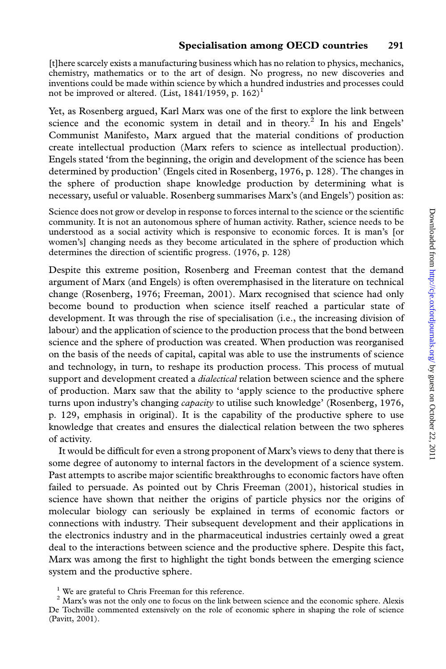# Specialisation among OECD countries 291

[t]here scarcely exists a manufacturing business which has no relation to physics, mechanics, chemistry, mathematics or to the art of design. No progress, no new discoveries and inventions could be made within science by which a hundred industries and processes could not be improved or altered. (List, 1841/1959, p.  $162$ )<sup>1</sup>

Yet, as Rosenberg argued, Karl Marx was one of the first to explore the link between science and the economic system in detail and in theory.<sup>2</sup> In his and Engels' Communist Manifesto, Marx argued that the material conditions of production create intellectual production (Marx refers to science as intellectual production). Engels stated 'from the beginning, the origin and development of the science has been determined by production' (Engels cited in Rosenberg, 1976, p. 128). The changes in the sphere of production shape knowledge production by determining what is necessary, useful or valuable. Rosenberg summarises Marx's (and Engels') position as:

Science does not grow or develop in response to forces internal to the science or the scientific community. It is not an autonomous sphere of human activity. Rather, science needs to be understood as a social activity which is responsive to economic forces. It is man's [or women's] changing needs as they become articulated in the sphere of production which determines the direction of scientific progress. (1976, p. 128)

Despite this extreme position, Rosenberg and Freeman contest that the demand argument of Marx (and Engels) is often overemphasised in the literature on technical change (Rosenberg, 1976; Freeman, 2001). Marx recognised that science had only become bound to production when science itself reached a particular state of development. It was through the rise of specialisation (i.e., the increasing division of labour) and the application of science to the production process that the bond between science and the sphere of production was created. When production was reorganised on the basis of the needs of capital, capital was able to use the instruments of science and technology, in turn, to reshape its production process. This process of mutual support and development created a *dialectical* relation between science and the sphere of production. Marx saw that the ability to 'apply science to the productive sphere turns upon industry's changing capacity to utilise such knowledge' (Rosenberg, 1976, p. 129, emphasis in original). It is the capability of the productive sphere to use knowledge that creates and ensures the dialectical relation between the two spheres of activity.

It would be difficult for even a strong proponent of Marx's views to deny that there is some degree of autonomy to internal factors in the development of a science system. Past attempts to ascribe major scientific breakthroughs to economic factors have often failed to persuade. As pointed out by Chris Freeman (2001), historical studies in science have shown that neither the origins of particle physics nor the origins of molecular biology can seriously be explained in terms of economic factors or connections with industry. Their subsequent development and their applications in the electronics industry and in the pharmaceutical industries certainly owed a great deal to the interactions between science and the productive sphere. Despite this fact, Marx was among the first to highlight the tight bonds between the emerging science system and the productive sphere.

<sup>&</sup>lt;sup>1</sup> We are grateful to Chris Freeman for this reference.<br><sup>2</sup> Marx's was not the only one to focus on the link between science and the economic sphere. Alexis De Tochville commented extensively on the role of economic sphere in shaping the role of science (Pavitt, 2001).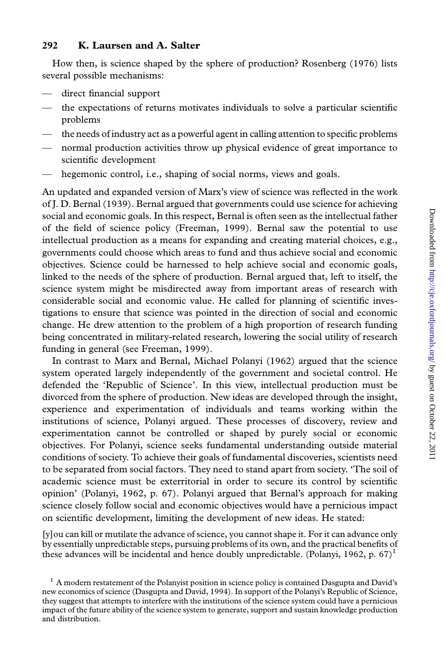How then, is science shaped by the sphere of production? Rosenberg (1976) lists several possible mechanisms:

- direct financial support
- the expectations of returns motivates individuals to solve a particular scientific problems
- the needs of industry act as a powerful agent in calling attention to specific problems
- normal production activities throw up physical evidence of great importance to scientific development
- hegemonic control, i.e., shaping of social norms, views and goals.

An updated and expanded version of Marx's view of science was reflected in the work of J. D. Bernal (1939). Bernal argued that governments could use science for achieving social and economic goals. In this respect, Bernal is often seen as the intellectual father of the field of science policy (Freeman, 1999). Bernal saw the potential to use intellectual production as a means for expanding and creating material choices, e.g., governments could choose which areas to fund and thus achieve social and economic objectives. Science could be harnessed to help achieve social and economic goals, linked to the needs of the sphere of production. Bernal argued that, left to itself, the science system might be misdirected away from important areas of research with considerable social and economic value. He called for planning of scientific investigations to ensure that science was pointed in the direction of social and economic change. He drew attention to the problem of a high proportion of research funding being concentrated in military-related research, lowering the social utility of research funding in general (see Freeman, 1999).

In contrast to Marx and Bernal, Michael Polanyi (1962) argued that the science system operated largely independently of the government and societal control. He defended the 'Republic of Science'. In this view, intellectual production must be divorced from the sphere of production. New ideas are developed through the insight, experience and experimentation of individuals and teams working within the institutions of science, Polanyi argued. These processes of discovery, review and experimentation cannot be controlled or shaped by purely social or economic objectives. For Polanyi, science seeks fundamental understanding outside material conditions of society. To achieve their goals of fundamental discoveries, scientists need to be separated from social factors. They need to stand apart from society. 'The soil of academic science must be exterritorial in order to secure its control by scientific opinion' (Polanyi, 1962, p. 67). Polanyi argued that Bernal's approach for making science closely follow social and economic objectives would have a pernicious impact on scientific development, limiting the development of new ideas. He stated:

[y]ou can kill or mutilate the advance of science, you cannot shape it. For it can advance only by essentially unpredictable steps, pursuing problems of its own, and the practical benefits of these advances will be incidental and hence doubly unpredictable. (Polanyi, 1962, p. 67)<sup>1</sup>

 $<sup>1</sup>$  A modern restatement of the Polanyist position in science policy is contained Dasgupta and David's</sup> new economics of science (Dasgupta and David, 1994). In support of the Polanyi's Republic of Science, they suggest that attempts to interfere with the institutions of the science system could have a pernicious impact of the future ability of the science system to generate, support and sustain knowledge production and distribution.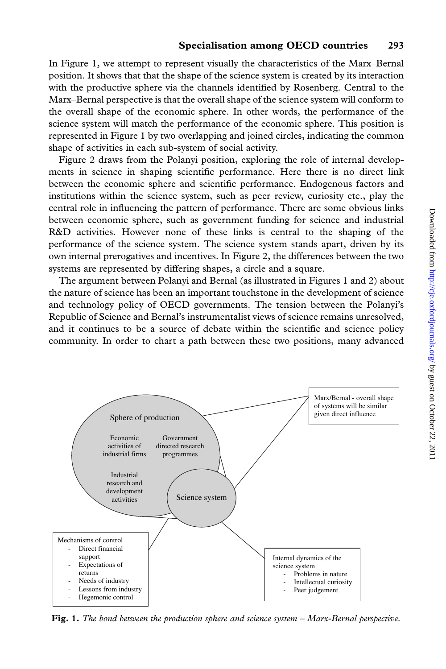In Figure 1, we attempt to represent visually the characteristics of the Marx–Bernal position. It shows that that the shape of the science system is created by its interaction with the productive sphere via the channels identified by Rosenberg. Central to the Marx–Bernal perspective is that the overall shape of the science system will conform to the overall shape of the economic sphere. In other words, the performance of the science system will match the performance of the economic sphere. This position is represented in Figure 1 by two overlapping and joined circles, indicating the common shape of activities in each sub-system of social activity.

Figure 2 draws from the Polanyi position, exploring the role of internal developments in science in shaping scientific performance. Here there is no direct link between the economic sphere and scientific performance. Endogenous factors and institutions within the science system, such as peer review, curiosity etc., play the central role in influencing the pattern of performance. There are some obvious links between economic sphere, such as government funding for science and industrial R&D activities. However none of these links is central to the shaping of the performance of the science system. The science system stands apart, driven by its own internal prerogatives and incentives. In Figure 2, the differences between the two systems are represented by differing shapes, a circle and a square.

The argument between Polanyi and Bernal (as illustrated in Figures 1 and 2) about the nature of science has been an important touchstone in the development of science and technology policy of OECD governments. The tension between the Polanyi's Republic of Science and Bernal's instrumentalist views of science remains unresolved, and it continues to be a source of debate within the scientific and science policy community. In order to chart a path between these two positions, many advanced



**Fig. 1.** The bond between the production sphere and science system  $-Marx$ -Bernal perspective.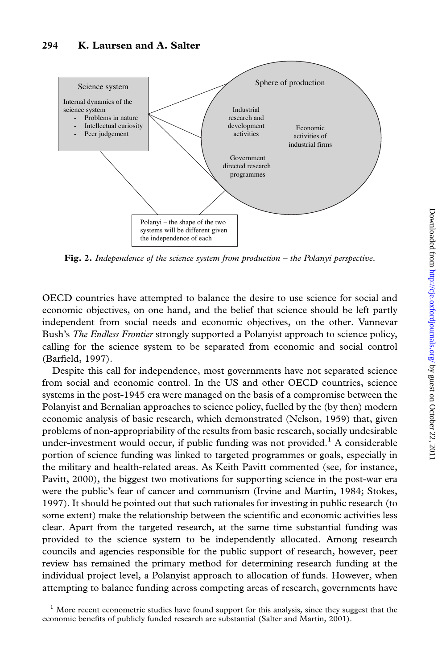

**Fig. 2.** Independence of the science system from production  $-$  the Polanyi perspective.

OECD countries have attempted to balance the desire to use science for social and economic objectives, on one hand, and the belief that science should be left partly independent from social needs and economic objectives, on the other. Vannevar Bush's The Endless Frontier strongly supported a Polanyist approach to science policy, calling for the science system to be separated from economic and social control (Barfield, 1997).

Despite this call for independence, most governments have not separated science from social and economic control. In the US and other OECD countries, science systems in the post-1945 era were managed on the basis of a compromise between the Polanyist and Bernalian approaches to science policy, fuelled by the (by then) modern economic analysis of basic research, which demonstrated (Nelson, 1959) that, given problems of non-appropriability of the results from basic research, socially undesirable under-investment would occur, if public funding was not provided.<sup>1</sup> A considerable portion of science funding was linked to targeted programmes or goals, especially in the military and health-related areas. As Keith Pavitt commented (see, for instance, Pavitt, 2000), the biggest two motivations for supporting science in the post-war era were the public's fear of cancer and communism (Irvine and Martin, 1984; Stokes, 1997). It should be pointed out that such rationales for investing in public research (to some extent) make the relationship between the scientific and economic activities less clear. Apart from the targeted research, at the same time substantial funding was provided to the science system to be independently allocated. Among research councils and agencies responsible for the public support of research, however, peer review has remained the primary method for determining research funding at the individual project level, a Polanyist approach to allocation of funds. However, when attempting to balance funding across competing areas of research, governments have

 $1$  More recent econometric studies have found support for this analysis, since they suggest that the economic benefits of publicly funded research are substantial (Salter and Martin, 2001).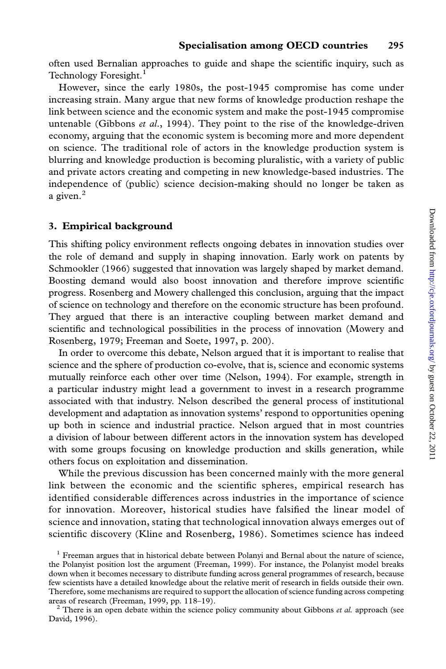often used Bernalian approaches to guide and shape the scientific inquiry, such as Technology Foresight.<sup>1</sup>

However, since the early 1980s, the post-1945 compromise has come under increasing strain. Many argue that new forms of knowledge production reshape the link between science and the economic system and make the post-1945 compromise untenable (Gibbons *et al.*, 1994). They point to the rise of the knowledge-driven economy, arguing that the economic system is becoming more and more dependent on science. The traditional role of actors in the knowledge production system is blurring and knowledge production is becoming pluralistic, with a variety of public and private actors creating and competing in new knowledge-based industries. The independence of (public) science decision-making should no longer be taken as a given.<sup>2</sup>

## 3. Empirical background

This shifting policy environment reflects ongoing debates in innovation studies over the role of demand and supply in shaping innovation. Early work on patents by Schmookler (1966) suggested that innovation was largely shaped by market demand. Boosting demand would also boost innovation and therefore improve scientific progress. Rosenberg and Mowery challenged this conclusion, arguing that the impact of science on technology and therefore on the economic structure has been profound. They argued that there is an interactive coupling between market demand and scientific and technological possibilities in the process of innovation (Mowery and Rosenberg, 1979; Freeman and Soete, 1997, p. 200).

In order to overcome this debate, Nelson argued that it is important to realise that science and the sphere of production co-evolve, that is, science and economic systems mutually reinforce each other over time (Nelson, 1994). For example, strength in a particular industry might lead a government to invest in a research programme associated with that industry. Nelson described the general process of institutional development and adaptation as innovation systems' respond to opportunities opening up both in science and industrial practice. Nelson argued that in most countries a division of labour between different actors in the innovation system has developed with some groups focusing on knowledge production and skills generation, while others focus on exploitation and dissemination.

While the previous discussion has been concerned mainly with the more general link between the economic and the scientific spheres, empirical research has identified considerable differences across industries in the importance of science for innovation. Moreover, historical studies have falsified the linear model of science and innovation, stating that technological innovation always emerges out of scientific discovery (Kline and Rosenberg, 1986). Sometimes science has indeed

<sup>&</sup>lt;sup>1</sup> Freeman argues that in historical debate between Polanyi and Bernal about the nature of science, the Polanyist position lost the argument (Freeman, 1999). For instance, the Polanyist model breaks down when it becomes necessary to distribute funding across general programmes of research, because few scientists have a detailed knowledge about the relative merit of research in fields outside their own. Therefore, some mechanisms are required to support the allocation of science funding across competing

<sup>&</sup>lt;sup>2</sup> There is an open debate within the science policy community about Gibbons *et al.* approach (see David, 1996).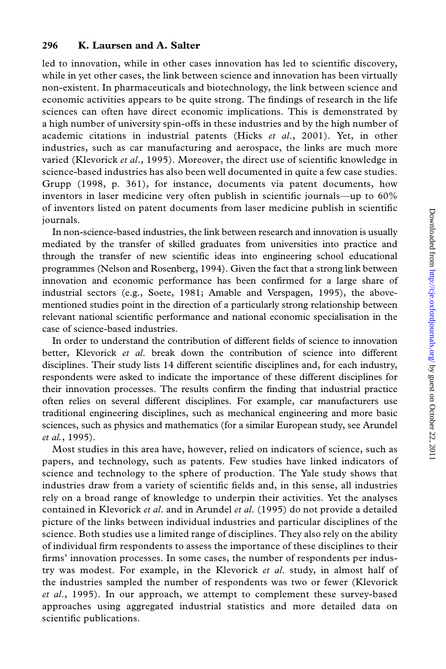led to innovation, while in other cases innovation has led to scientific discovery, while in yet other cases, the link between science and innovation has been virtually non-existent. In pharmaceuticals and biotechnology, the link between science and economic activities appears to be quite strong. The findings of research in the life sciences can often have direct economic implications. This is demonstrated by a high number of university spin-offs in these industries and by the high number of academic citations in industrial patents (Hicks  $et$  al., 2001). Yet, in other industries, such as car manufacturing and aerospace, the links are much more varied (Klevorick et al., 1995). Moreover, the direct use of scientific knowledge in science-based industries has also been well documented in quite a few case studies. Grupp (1998, p. 361), for instance, documents via patent documents, how inventors in laser medicine very often publish in scientific journals—up to 60% of inventors listed on patent documents from laser medicine publish in scientific journals.

In non-science-based industries, the link between research and innovation is usually mediated by the transfer of skilled graduates from universities into practice and through the transfer of new scientific ideas into engineering school educational programmes (Nelson and Rosenberg, 1994). Given the fact that a strong link between innovation and economic performance has been confirmed for a large share of industrial sectors (e.g., Soete, 1981; Amable and Verspagen, 1995), the abovementioned studies point in the direction of a particularly strong relationship between relevant national scientific performance and national economic specialisation in the case of science-based industries.

In order to understand the contribution of different fields of science to innovation better, Klevorick et al. break down the contribution of science into different disciplines. Their study lists 14 different scientific disciplines and, for each industry, respondents were asked to indicate the importance of these different disciplines for their innovation processes. The results confirm the finding that industrial practice often relies on several different disciplines. For example, car manufacturers use traditional engineering disciplines, such as mechanical engineering and more basic sciences, such as physics and mathematics (for a similar European study, see Arundel et al., 1995).

Most studies in this area have, however, relied on indicators of science, such as papers, and technology, such as patents. Few studies have linked indicators of science and technology to the sphere of production. The Yale study shows that industries draw from a variety of scientific fields and, in this sense, all industries rely on a broad range of knowledge to underpin their activities. Yet the analyses contained in Klevorick et al. and in Arundel et al. (1995) do not provide a detailed picture of the links between individual industries and particular disciplines of the science. Both studies use a limited range of disciplines. They also rely on the ability of individual firm respondents to assess the importance of these disciplines to their firms' innovation processes. In some cases, the number of respondents per industry was modest. For example, in the Klevorick et al. study, in almost half of the industries sampled the number of respondents was two or fewer (Klevorick et al., 1995). In our approach, we attempt to complement these survey-based approaches using aggregated industrial statistics and more detailed data on scientific publications.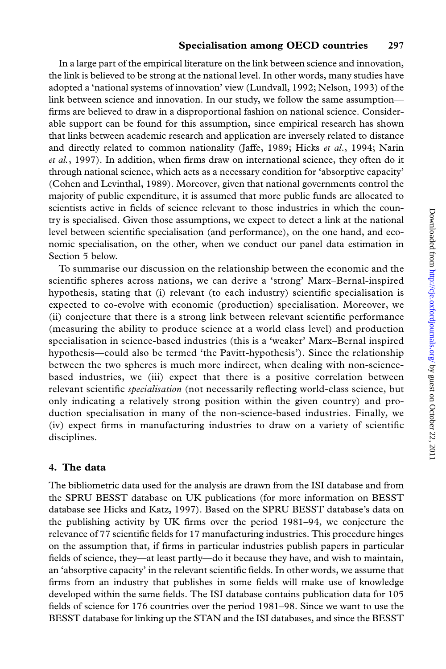## Specialisation among OECD countries 297

In a large part of the empirical literature on the link between science and innovation, the link is believed to be strong at the national level. In other words, many studies have adopted a 'national systems of innovation' view (Lundvall, 1992; Nelson, 1993) of the link between science and innovation. In our study, we follow the same assumption firms are believed to draw in a disproportional fashion on national science. Considerable support can be found for this assumption, since empirical research has shown that links between academic research and application are inversely related to distance and directly related to common nationality (Jaffe, 1989; Hicks et al., 1994; Narin et al., 1997). In addition, when firms draw on international science, they often do it through national science, which acts as a necessary condition for 'absorptive capacity' (Cohen and Levinthal, 1989). Moreover, given that national governments control the majority of public expenditure, it is assumed that more public funds are allocated to scientists active in fields of science relevant to those industries in which the country is specialised. Given those assumptions, we expect to detect a link at the national level between scientific specialisation (and performance), on the one hand, and economic specialisation, on the other, when we conduct our panel data estimation in Section 5 below.

To summarise our discussion on the relationship between the economic and the scientific spheres across nations, we can derive a 'strong' Marx–Bernal-inspired hypothesis, stating that (i) relevant (to each industry) scientific specialisation is expected to co-evolve with economic (production) specialisation. Moreover, we (ii) conjecture that there is a strong link between relevant scientific performance (measuring the ability to produce science at a world class level) and production specialisation in science-based industries (this is a 'weaker' Marx–Bernal inspired hypothesis—could also be termed 'the Pavitt-hypothesis'). Since the relationship between the two spheres is much more indirect, when dealing with non-sciencebased industries, we (iii) expect that there is a positive correlation between relevant scientific specialisation (not necessarily reflecting world-class science, but only indicating a relatively strong position within the given country) and production specialisation in many of the non-science-based industries. Finally, we (iv) expect firms in manufacturing industries to draw on a variety of scientific disciplines.

## 4. The data

The bibliometric data used for the analysis are drawn from the ISI database and from the SPRU BESST database on UK publications (for more information on BESST database see Hicks and Katz, 1997). Based on the SPRU BESST database's data on the publishing activity by UK firms over the period 1981–94, we conjecture the relevance of 77 scientific fields for 17 manufacturing industries. This procedure hinges on the assumption that, if firms in particular industries publish papers in particular fields of science, they—at least partly—do it because they have, and wish to maintain, an 'absorptive capacity' in the relevant scientific fields. In other words, we assume that firms from an industry that publishes in some fields will make use of knowledge developed within the same fields. The ISI database contains publication data for 105 fields of science for 176 countries over the period 1981–98. Since we want to use the BESST database for linking up the STAN and the ISI databases, and since the BESST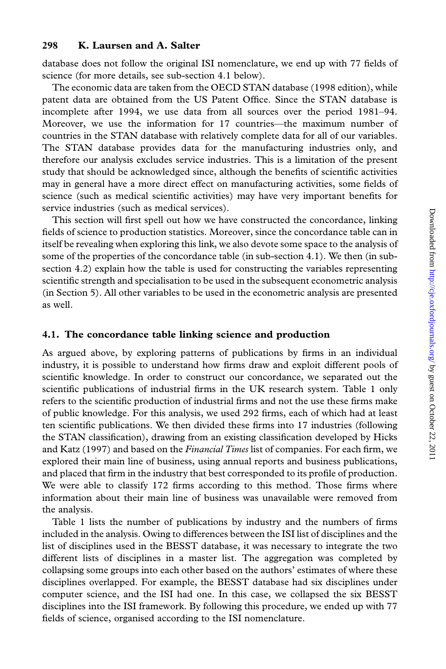database does not follow the original ISI nomenclature, we end up with 77 fields of science (for more details, see sub-section 4.1 below).

The economic data are taken from the OECD STAN database (1998 edition), while patent data are obtained from the US Patent Office. Since the STAN database is incomplete after 1994, we use data from all sources over the period 1981–94. Moreover, we use the information for 17 countries—the maximum number of countries in the STAN database with relatively complete data for all of our variables. The STAN database provides data for the manufacturing industries only, and therefore our analysis excludes service industries. This is a limitation of the present study that should be acknowledged since, although the benefits of scientific activities may in general have a more direct effect on manufacturing activities, some fields of science (such as medical scientific activities) may have very important benefits for service industries (such as medical services).

This section will first spell out how we have constructed the concordance, linking fields of science to production statistics. Moreover, since the concordance table can in itself be revealing when exploring this link, we also devote some space to the analysis of some of the properties of the concordance table (in sub-section 4.1). We then (in subsection 4.2) explain how the table is used for constructing the variables representing scientific strength and specialisation to be used in the subsequent econometric analysis (in Section 5). All other variables to be used in the econometric analysis are presented as well.

## 4.1. The concordance table linking science and production

As argued above, by exploring patterns of publications by firms in an individual industry, it is possible to understand how firms draw and exploit different pools of scientific knowledge. In order to construct our concordance, we separated out the scientific publications of industrial firms in the UK research system. Table 1 only refers to the scientific production of industrial firms and not the use these firms make of public knowledge. For this analysis, we used 292 firms, each of which had at least ten scientific publications. We then divided these firms into 17 industries (following the STAN classification), drawing from an existing classification developed by Hicks and Katz (1997) and based on the Financial Times list of companies. For each firm, we explored their main line of business, using annual reports and business publications, and placed that firm in the industry that best corresponded to its profile of production. We were able to classify 172 firms according to this method. Those firms where information about their main line of business was unavailable were removed from the analysis.

Table 1 lists the number of publications by industry and the numbers of firms included in the analysis. Owing to differences between the ISI list of disciplines and the list of disciplines used in the BESST database, it was necessary to integrate the two different lists of disciplines in a master list. The aggregation was completed by collapsing some groups into each other based on the authors' estimates of where these disciplines overlapped. For example, the BESST database had six disciplines under computer science, and the ISI had one. In this case, we collapsed the six BESST disciplines into the ISI framework. By following this procedure, we ended up with 77 fields of science, organised according to the ISI nomenclature.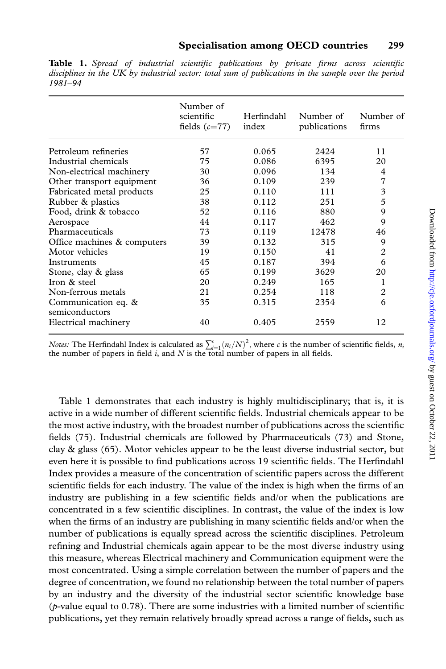Table 1. Spread of industrial scientific publications by private firms across scientific disciplines in the UK by industrial sector: total sum of publications in the sample over the period 1981–94

|                                       | Number of<br>scientific<br>fields $(c=77)$ | Herfindahl<br>index | Number of<br>publications | Number of<br>firms |
|---------------------------------------|--------------------------------------------|---------------------|---------------------------|--------------------|
| Petroleum refineries                  | 57                                         | 0.065               | 2424                      | 11                 |
| Industrial chemicals                  | 75                                         | 0.086               | 6395                      | 20                 |
| Non-electrical machinery              | 30                                         | 0.096               | 134                       | 4                  |
| Other transport equipment             | 36                                         | 0.109               | 239                       | 7                  |
| Fabricated metal products             | 25                                         | 0.110               | 111                       | 3                  |
| Rubber & plastics                     | 38                                         | 0.112               | 251                       | 5                  |
| Food, drink & tobacco                 | 52                                         | 0.116               | 880                       | 9                  |
| Aerospace                             | 44                                         | 0.117               | 462                       | 9                  |
| Pharmaceuticals                       | 73                                         | 0.119               | 12478                     | 46                 |
| Office machines & computers           | 39                                         | 0.132               | 315                       | 9                  |
| Motor vehicles                        | 19                                         | 0.150               | 41                        | 2                  |
| Instruments                           | 45                                         | 0.187               | 394                       | 6                  |
| Stone, clay $\&$ glass                | 65                                         | 0.199               | 3629                      | 20                 |
| Iron & steel                          | 20                                         | 0.249               | 165                       | 1                  |
| Non-ferrous metals                    | 21                                         | 0.254               | 118                       | 2                  |
| Communication eq. &<br>semiconductors | 35                                         | 0.315               | 2354                      | 6                  |
| Electrical machinery                  | 40                                         | 0.405               | 2559                      | 12                 |

*Notes:* The Herfindahl Index is calculated as  $\sum_{i=1}^{c} (n_i/N)^2$ , where c is the number of scientific fields,  $n_i$ the number of papers in field  $i$ , and N is the total number of papers in all fields.

Table 1 demonstrates that each industry is highly multidisciplinary; that is, it is active in a wide number of different scientific fields. Industrial chemicals appear to be the most active industry, with the broadest number of publications across the scientific fields (75). Industrial chemicals are followed by Pharmaceuticals (73) and Stone, clay & glass (65). Motor vehicles appear to be the least diverse industrial sector, but even here it is possible to find publications across 19 scientific fields. The Herfindahl Index provides a measure of the concentration of scientific papers across the different scientific fields for each industry. The value of the index is high when the firms of an industry are publishing in a few scientific fields and/or when the publications are concentrated in a few scientific disciplines. In contrast, the value of the index is low when the firms of an industry are publishing in many scientific fields and/or when the number of publications is equally spread across the scientific disciplines. Petroleum refining and Industrial chemicals again appear to be the most diverse industry using this measure, whereas Electrical machinery and Communication equipment were the most concentrated. Using a simple correlation between the number of papers and the degree of concentration, we found no relationship between the total number of papers by an industry and the diversity of the industrial sector scientific knowledge base  $(p$ -value equal to 0.78). There are some industries with a limited number of scientific publications, yet they remain relatively broadly spread across a range of fields, such as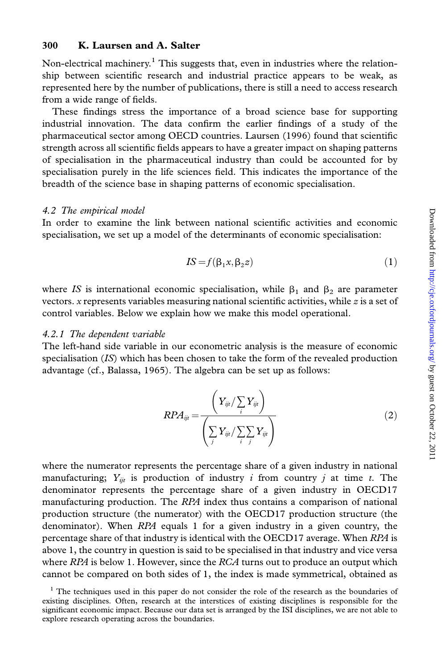Non-electrical machinery.<sup>1</sup> This suggests that, even in industries where the relationship between scientific research and industrial practice appears to be weak, as represented here by the number of publications, there is still a need to access research from a wide range of fields.

These findings stress the importance of a broad science base for supporting industrial innovation. The data confirm the earlier findings of a study of the pharmaceutical sector among OECD countries. Laursen (1996) found that scientific strength across all scientific fields appears to have a greater impact on shaping patterns of specialisation in the pharmaceutical industry than could be accounted for by specialisation purely in the life sciences field. This indicates the importance of the breadth of the science base in shaping patterns of economic specialisation.

#### 4.2 The empirical model

In order to examine the link between national scientific activities and economic specialisation, we set up a model of the determinants of economic specialisation:

$$
IS = f(\beta_1 x, \beta_2 z) \tag{1}
$$

where IS is international economic specialisation, while  $\beta_1$  and  $\beta_2$  are parameter vectors. x represents variables measuring national scientific activities, while z is a set of control variables. Below we explain how we make this model operational.

## 4.2.1 The dependent variable

The left-hand side variable in our econometric analysis is the measure of economic specialisation (IS) which has been chosen to take the form of the revealed production advantage (cf., Balassa, 1965). The algebra can be set up as follows:

$$
RPA_{ijt} = \frac{\left(Y_{ijt}/\sum_{i} Y_{ijt}\right)}{\left(\sum_{j} Y_{ijt}/\sum_{i} \sum_{j} Y_{ijt}\right)}
$$
\n(2)

where the numerator represents the percentage share of a given industry in national manufacturing;  $Y_{ijt}$  is production of industry i from country j at time t. The denominator represents the percentage share of a given industry in OECD17 manufacturing production. The RPA index thus contains a comparison of national production structure (the numerator) with the OECD17 production structure (the denominator). When RPA equals 1 for a given industry in a given country, the percentage share of that industry is identical with the OECD17 average. When RPA is above 1, the country in question is said to be specialised in that industry and vice versa where RPA is below 1. However, since the RCA turns out to produce an output which cannot be compared on both sides of 1, the index is made symmetrical, obtained as

<sup>&</sup>lt;sup>1</sup> The techniques used in this paper do not consider the role of the research as the boundaries of existing disciplines. Often, research at the interstices of existing disciplines is responsible for the significant economic impact. Because our data set is arranged by the ISI disciplines, we are not able to explore research operating across the boundaries.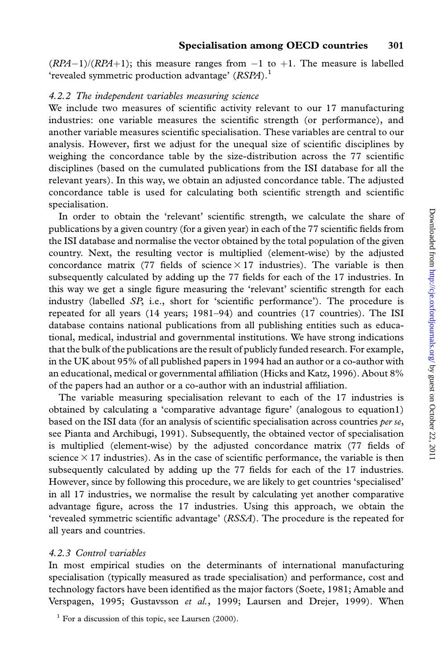$(RPA-1)/(RPA+1)$ ; this measure ranges from  $-1$  to  $+1$ . The measure is labelled 'revealed symmetric production advantage' (RSPA).<sup>1</sup>

#### 4.2.2 The independent variables measuring science

We include two measures of scientific activity relevant to our 17 manufacturing industries: one variable measures the scientific strength (or performance), and another variable measures scientific specialisation. These variables are central to our analysis. However, first we adjust for the unequal size of scientific disciplines by weighing the concordance table by the size-distribution across the 77 scientific disciplines (based on the cumulated publications from the ISI database for all the relevant years). In this way, we obtain an adjusted concordance table. The adjusted concordance table is used for calculating both scientific strength and scientific specialisation.

In order to obtain the 'relevant' scientific strength, we calculate the share of publications by a given country (for a given year) in each of the 77 scientific fields from the ISI database and normalise the vector obtained by the total population of the given country. Next, the resulting vector is multiplied (element-wise) by the adjusted concordance matrix (77 fields of science  $\times$  17 industries). The variable is then subsequently calculated by adding up the 77 fields for each of the 17 industries. In this way we get a single figure measuring the 'relevant' scientific strength for each industry (labelled SP, i.e., short for 'scientific performance'). The procedure is repeated for all years (14 years; 1981–94) and countries (17 countries). The ISI database contains national publications from all publishing entities such as educational, medical, industrial and governmental institutions. We have strong indications that the bulk of the publications are the result of publicly funded research. For example, in the UK about 95% of all published papers in 1994 had an author or a co-author with an educational, medical or governmental affiliation (Hicks and Katz, 1996). About 8% of the papers had an author or a co-author with an industrial affiliation.

The variable measuring specialisation relevant to each of the 17 industries is obtained by calculating a 'comparative advantage figure' (analogous to equation1) based on the ISI data (for an analysis of scientific specialisation across countries per se, see Pianta and Archibugi, 1991). Subsequently, the obtained vector of specialisation is multiplied (element-wise) by the adjusted concordance matrix (77 fields of science  $\times$  17 industries). As in the case of scientific performance, the variable is then subsequently calculated by adding up the 77 fields for each of the 17 industries. However, since by following this procedure, we are likely to get countries 'specialised' in all 17 industries, we normalise the result by calculating yet another comparative advantage figure, across the 17 industries. Using this approach, we obtain the 'revealed symmetric scientific advantage' (RSSA). The procedure is the repeated for all years and countries.

## 4.2.3 Control variables

In most empirical studies on the determinants of international manufacturing specialisation (typically measured as trade specialisation) and performance, cost and technology factors have been identified as the major factors (Soete, 1981; Amable and Verspagen, 1995; Gustavsson et al., 1999; Laursen and Drejer, 1999). When

 $1$  For a discussion of this topic, see Laursen (2000).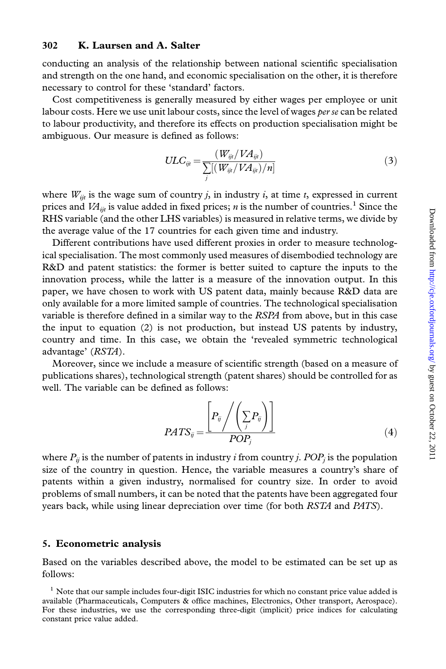conducting an analysis of the relationship between national scientific specialisation and strength on the one hand, and economic specialisation on the other, it is therefore necessary to control for these 'standard' factors.

Cost competitiveness is generally measured by either wages per employee or unit labour costs. Here we use unit labour costs, since the level of wages *per se* can be related to labour productivity, and therefore its effects on production specialisation might be ambiguous. Our measure is defined as follows:

$$
ULC_{ijt} = \frac{(W_{ijt}/VA_{ijt})}{\sum_{j}[(W_{ijt}/VA_{ijt})/n]}
$$
(3)

where  $W_{ii}$  is the wage sum of country j, in industry i, at time t, expressed in current prices and  $VA_{ijt}$  is value added in fixed prices; *n* is the number of countries.<sup>1</sup> Since the RHS variable (and the other LHS variables) is measured in relative terms, we divide by the average value of the 17 countries for each given time and industry.

Different contributions have used different proxies in order to measure technological specialisation. The most commonly used measures of disembodied technology are R&D and patent statistics: the former is better suited to capture the inputs to the innovation process, while the latter is a measure of the innovation output. In this paper, we have chosen to work with US patent data, mainly because R&D data are only available for a more limited sample of countries. The technological specialisation variable is therefore defined in a similar way to the RSPA from above, but in this case the input to equation (2) is not production, but instead US patents by industry, country and time. In this case, we obtain the 'revealed symmetric technological advantage' (RSTA).

Moreover, since we include a measure of scientific strength (based on a measure of publications shares), technological strength (patent shares) should be controlled for as well. The variable can be defined as follows:

$$
PATS_{ij} = \frac{\left[P_{ij} \bigg/ \left(\sum_{j} P_{ij}\right)\right]}{POP_{j}}
$$
\n(4)

where  $P_{ij}$  is the number of patents in industry *i* from country *j. POP<sub>i</sub>* is the population size of the country in question. Hence, the variable measures a country's share of patents within a given industry, normalised for country size. In order to avoid problems of small numbers, it can be noted that the patents have been aggregated four years back, while using linear depreciation over time (for both RSTA and PATS).

#### 5. Econometric analysis

Based on the variables described above, the model to be estimated can be set up as follows:

 $<sup>1</sup>$  Note that our sample includes four-digit ISIC industries for which no constant price value added is</sup> available (Pharmaceuticals, Computers & office machines, Electronics, Other transport, Aerospace). For these industries, we use the corresponding three-digit (implicit) price indices for calculating constant price value added.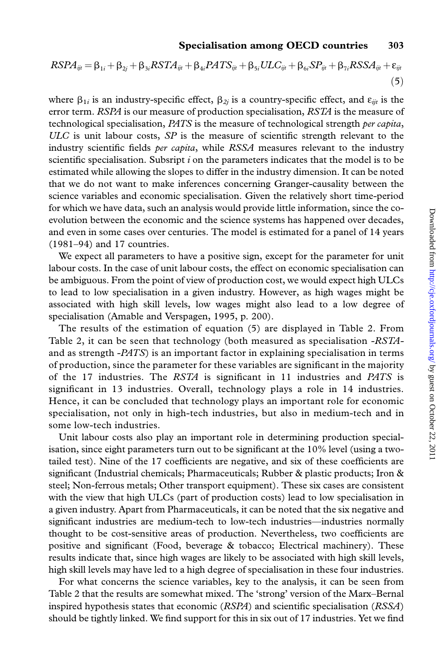#### Specialisation among OECD countries 303

$$
RSPA_{ijt} = \beta_{1i} + \beta_{2j} + \beta_{3i} RSTA_{ijt} + \beta_{4i} PATS_{ijt} + \beta_{5i} ULC_{ijt} + \beta_{6i} SP_{ijt} + \beta_{7i} RSSA_{ijt} + \varepsilon_{ijt}
$$
\n(5)

where  $\beta_{1i}$  is an industry-specific effect,  $\beta_{2i}$  is a country-specific effect, and  $\varepsilon_{ii}$  is the error term. RSPA is our measure of production specialisation, RSTA is the measure of technological specialisation, PATS is the measure of technological strength per capita,  $ULC$  is unit labour costs,  $SP$  is the measure of scientific strength relevant to the industry scientific fields *per capita*, while RSSA measures relevant to the industry scientific specialisation. Subsript  $i$  on the parameters indicates that the model is to be estimated while allowing the slopes to differ in the industry dimension. It can be noted that we do not want to make inferences concerning Granger-causality between the science variables and economic specialisation. Given the relatively short time-period for which we have data, such an analysis would provide little information, since the coevolution between the economic and the science systems has happened over decades, and even in some cases over centuries. The model is estimated for a panel of 14 years (1981–94) and 17 countries.

We expect all parameters to have a positive sign, except for the parameter for unit labour costs. In the case of unit labour costs, the effect on economic specialisation can be ambiguous. From the point of view of production cost, we would expect high ULCs to lead to low specialisation in a given industry. However, as high wages might be associated with high skill levels, low wages might also lead to a low degree of specialisation (Amable and Verspagen, 1995, p. 200).

The results of the estimation of equation (5) are displayed in Table 2. From Table 2, it can be seen that technology (both measured as specialisation -RSTAand as strength -PATS) is an important factor in explaining specialisation in terms of production, since the parameter for these variables are significant in the majority of the 17 industries. The RSTA is significant in 11 industries and PATS is significant in 13 industries. Overall, technology plays a role in 14 industries. Hence, it can be concluded that technology plays an important role for economic specialisation, not only in high-tech industries, but also in medium-tech and in some low-tech industries.

Unit labour costs also play an important role in determining production specialisation, since eight parameters turn out to be significant at the 10% level (using a twotailed test). Nine of the 17 coefficients are negative, and six of these coefficients are significant (Industrial chemicals; Pharmaceuticals; Rubber & plastic products; Iron & steel; Non-ferrous metals; Other transport equipment). These six cases are consistent with the view that high ULCs (part of production costs) lead to low specialisation in a given industry. Apart from Pharmaceuticals, it can be noted that the six negative and significant industries are medium-tech to low-tech industries—industries normally thought to be cost-sensitive areas of production. Nevertheless, two coefficients are positive and significant (Food, beverage & tobacco; Electrical machinery). These results indicate that, since high wages are likely to be associated with high skill levels, high skill levels may have led to a high degree of specialisation in these four industries.

For what concerns the science variables, key to the analysis, it can be seen from Table 2 that the results are somewhat mixed. The 'strong' version of the Marx–Bernal inspired hypothesis states that economic (RSPA) and scientific specialisation (RSSA) should be tightly linked. We find support for this in six out of 17 industries. Yet we find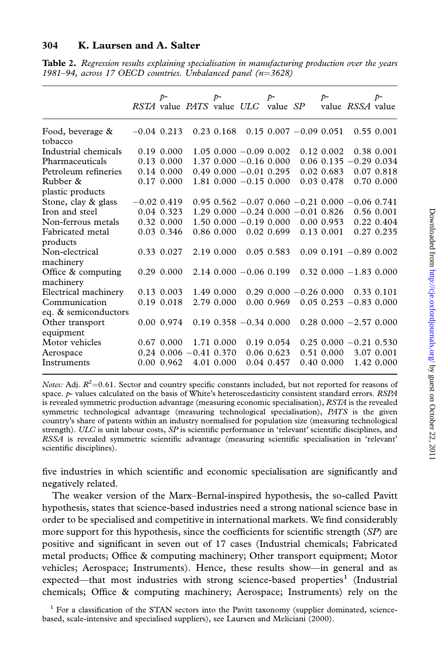|                                       | $p-$           |                               | $p-$       |                                          | $p-$           |                               | $p-$           |                                                          | $p-$           |
|---------------------------------------|----------------|-------------------------------|------------|------------------------------------------|----------------|-------------------------------|----------------|----------------------------------------------------------|----------------|
|                                       |                | RSTA value PATS value ULC     |            |                                          | value $SP$     |                               |                | value RSSA value                                         |                |
| Food, beverage &<br>tobacco           | $-0.04$ 0.213  |                               | 0.23 0.168 |                                          |                | $0.15$ 0.007 $-0.09$ 0.051    |                |                                                          | $0.55$ $0.001$ |
| Industrial chemicals                  | 0.19 0.000     |                               |            | $1.05$ 0.000 $-0.09$ 0.002               |                |                               | 0.12 0.002     |                                                          | 0.38 0.001     |
| Pharmaceuticals                       | $0.13$ $0.000$ |                               |            | $1.37, 0.000, -0.16, 0.000$              |                |                               | $0.06$ $0.135$ | $-0.29$ 0.034                                            |                |
| Petroleum refineries                  | 0.14 0.000     |                               |            | $0.49$ $0.000 - 0.01$ $0.295$            |                |                               | 0.02 0.683     |                                                          | 0.07 0.818     |
| Rubber &                              | 0.17 0.000     |                               |            | $1.81$ 0.000 $-0.15$ 0.000               |                |                               | 0.03 0.478     |                                                          | 0.70 0.000     |
| plastic products                      |                |                               |            |                                          |                |                               |                |                                                          |                |
| Stone, clay & glass                   | $-0.02$ 0.419  |                               |            |                                          |                |                               |                | $0.95$ $0.562 -0.07$ $0.060 -0.21$ $0.000 -0.06$ $0.741$ |                |
| Iron and steel                        | 0.04 0.323     |                               |            | $1.29$ 0.000 $-0.24$ 0.000 $-0.01$ 0.826 |                |                               |                |                                                          | 0.56 0.001     |
| Non-ferrous metals                    | 0.32 0.000     |                               |            | $1.50$ 0.000 $-0.19$ 0.000               |                |                               | 0.00 0.953     |                                                          | 0.22 0.404     |
| Fabricated metal<br>products          | 0.03 0.346     |                               | 0.86 0.000 |                                          | $0.02$ $0.699$ |                               | 0.13 0.001     |                                                          | 0.27 0.235     |
| Non-electrical<br>machinery           | 0.33 0.027     |                               | 2.19 0.000 |                                          | 0.05 0.583     |                               |                | $0.09$ $0.191 - 0.89$ $0.002$                            |                |
| Office & computing<br>machinery       | $0.29$ $0.000$ |                               |            | $2.14\ 0.000 - 0.06\ 0.199$              |                |                               |                | $0.32$ $0.000 - 1.83$ $0.000$                            |                |
| Electrical machinery                  | 0.13 0.003     |                               | 1.49 0.000 |                                          |                | $0.29$ $0.000 - 0.26$ $0.000$ |                |                                                          | 0.33 0.101     |
| Communication<br>eq. & semiconductors | 0.19 0.018     |                               | 2.79 0.000 |                                          | 0.00 0.969     |                               |                | $0.05$ $0.253 - 0.83$ $0.000$                            |                |
| Other transport<br>equipment          | 0.00 0.974     |                               |            | $0.19$ $0.358 - 0.34$ $0.000$            |                |                               |                | $0.28$ $0.000 - 2.57$ $0.000$                            |                |
| Motor vehicles                        | $0.67$ $0.000$ |                               | 1.71 0.000 |                                          | 0.19 0.054     |                               |                | $0.25$ $0.000 - 0.21$ $0.530$                            |                |
| Aerospace                             |                | $0.24$ $0.006 - 0.41$ $0.370$ |            |                                          | 0.06 0.623     |                               | 0.51 0.000     |                                                          | 3.07 0.001     |
| Instruments                           | $0.00\ 0.962$  |                               | 4.01 0.000 |                                          | 0.04 0.457     |                               | 0.40 0.000     |                                                          | 1.42 0.000     |

Table 2. Regression results explaining specialisation in manufacturing production over the years 1981–94, across 17 OECD countries. Unbalanced panel  $(n=3628)$ 

Notes: Adj.  $R^2$ =0.61. Sector and country specific constants included, but not reported for reasons of space. p- values calculated on the basis of White's heteroscedasticity consistent standard errors. RSPA is revealed symmetric production advantage (measuring economic specialisation), RSTA is the revealed symmetric technological advantage (measuring technological specialisation), PATS is the given country's share of patents within an industry normalised for population size (measuring technological strength). ULC is unit labour costs, SP is scientific performance in 'relevant' scientific disciplines, and RSSA is revealed symmetric scientific advantage (measuring scientific specialisation in 'relevant' scientific disciplines).

five industries in which scientific and economic specialisation are significantly and negatively related.

The weaker version of the Marx–Bernal-inspired hypothesis, the so-called Pavitt hypothesis, states that science-based industries need a strong national science base in order to be specialised and competitive in international markets. We find considerably more support for this hypothesis, since the coefficients for scientific strength  $(S<sub>P</sub>)$  are positive and significant in seven out of 17 cases (Industrial chemicals; Fabricated metal products; Office & computing machinery; Other transport equipment; Motor vehicles; Aerospace; Instruments). Hence, these results show—in general and as  $expected$ —that most industries with strong science-based properties<sup>1</sup> (Industrial chemicals; Office & computing machinery; Aerospace; Instruments) rely on the

 $1$  For a classification of the STAN sectors into the Pavitt taxonomy (supplier dominated, sciencebased, scale-intensive and specialised suppliers), see Laursen and Meliciani (2000).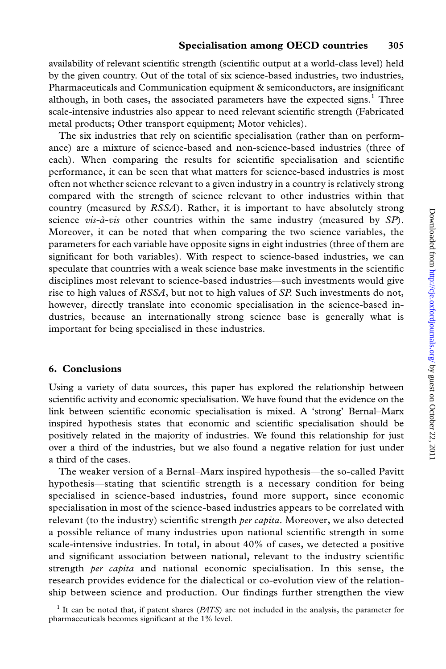availability of relevant scientific strength (scientific output at a world-class level) held by the given country. Out of the total of six science-based industries, two industries, Pharmaceuticals and Communication equipment & semiconductors, are insignificant although, in both cases, the associated parameters have the expected signs.<sup>1</sup> Three scale-intensive industries also appear to need relevant scientific strength (Fabricated metal products; Other transport equipment; Motor vehicles).

The six industries that rely on scientific specialisation (rather than on performance) are a mixture of science-based and non-science-based industries (three of each). When comparing the results for scientific specialisation and scientific performance, it can be seen that what matters for science-based industries is most often not whether science relevant to a given industry in a country is relatively strong compared with the strength of science relevant to other industries within that country (measured by RSSA). Rather, it is important to have absolutely strong science  $vis-\hat{a}-vis$  other countries within the same industry (measured by  $SP$ ). Moreover, it can be noted that when comparing the two science variables, the parameters for each variable have opposite signs in eight industries (three of them are significant for both variables). With respect to science-based industries, we can speculate that countries with a weak science base make investments in the scientific disciplines most relevant to science-based industries—such investments would give rise to high values of RSSA, but not to high values of SP. Such investments do not, however, directly translate into economic specialisation in the science-based industries, because an internationally strong science base is generally what is important for being specialised in these industries.

## 6. Conclusions

Using a variety of data sources, this paper has explored the relationship between scientific activity and economic specialisation. We have found that the evidence on the link between scientific economic specialisation is mixed. A 'strong' Bernal–Marx inspired hypothesis states that economic and scientific specialisation should be positively related in the majority of industries. We found this relationship for just over a third of the industries, but we also found a negative relation for just under a third of the cases.

The weaker version of a Bernal–Marx inspired hypothesis—the so-called Pavitt hypothesis—stating that scientific strength is a necessary condition for being specialised in science-based industries, found more support, since economic specialisation in most of the science-based industries appears to be correlated with relevant (to the industry) scientific strength per capita. Moreover, we also detected a possible reliance of many industries upon national scientific strength in some scale-intensive industries. In total, in about 40% of cases, we detected a positive and significant association between national, relevant to the industry scientific strength per capita and national economic specialisation. In this sense, the research provides evidence for the dialectical or co-evolution view of the relationship between science and production. Our findings further strengthen the view

<sup>&</sup>lt;sup>1</sup> It can be noted that, if patent shares ( $PATS$ ) are not included in the analysis, the parameter for pharmaceuticals becomes significant at the 1% level.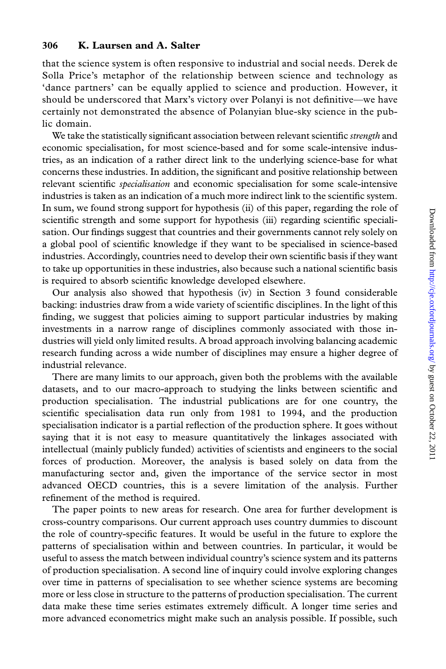that the science system is often responsive to industrial and social needs. Derek de Solla Price's metaphor of the relationship between science and technology as 'dance partners' can be equally applied to science and production. However, it should be underscored that Marx's victory over Polanyi is not definitive—we have certainly not demonstrated the absence of Polanyian blue-sky science in the public domain.

We take the statistically significant association between relevant scientific *strength* and economic specialisation, for most science-based and for some scale-intensive industries, as an indication of a rather direct link to the underlying science-base for what concerns these industries. In addition, the significant and positive relationship between relevant scientific specialisation and economic specialisation for some scale-intensive industries is taken as an indication of a much more indirect link to the scientific system. In sum, we found strong support for hypothesis (ii) of this paper, regarding the role of scientific strength and some support for hypothesis (iii) regarding scientific specialisation. Our findings suggest that countries and their governments cannot rely solely on a global pool of scientific knowledge if they want to be specialised in science-based industries. Accordingly, countries need to develop their own scientific basis if they want to take up opportunities in these industries, also because such a national scientific basis is required to absorb scientific knowledge developed elsewhere.

Our analysis also showed that hypothesis (iv) in Section 3 found considerable backing: industries draw from a wide variety of scientific disciplines. In the light of this finding, we suggest that policies aiming to support particular industries by making investments in a narrow range of disciplines commonly associated with those industries will yield only limited results. A broad approach involving balancing academic research funding across a wide number of disciplines may ensure a higher degree of industrial relevance.

There are many limits to our approach, given both the problems with the available datasets, and to our macro-approach to studying the links between scientific and production specialisation. The industrial publications are for one country, the scientific specialisation data run only from 1981 to 1994, and the production specialisation indicator is a partial reflection of the production sphere. It goes without saying that it is not easy to measure quantitatively the linkages associated with intellectual (mainly publicly funded) activities of scientists and engineers to the social forces of production. Moreover, the analysis is based solely on data from the manufacturing sector and, given the importance of the service sector in most advanced OECD countries, this is a severe limitation of the analysis. Further refinement of the method is required.

The paper points to new areas for research. One area for further development is cross-country comparisons. Our current approach uses country dummies to discount the role of country-specific features. It would be useful in the future to explore the patterns of specialisation within and between countries. In particular, it would be useful to assess the match between individual country's science system and its patterns of production specialisation. A second line of inquiry could involve exploring changes over time in patterns of specialisation to see whether science systems are becoming more or less close in structure to the patterns of production specialisation. The current data make these time series estimates extremely difficult. A longer time series and more advanced econometrics might make such an analysis possible. If possible, such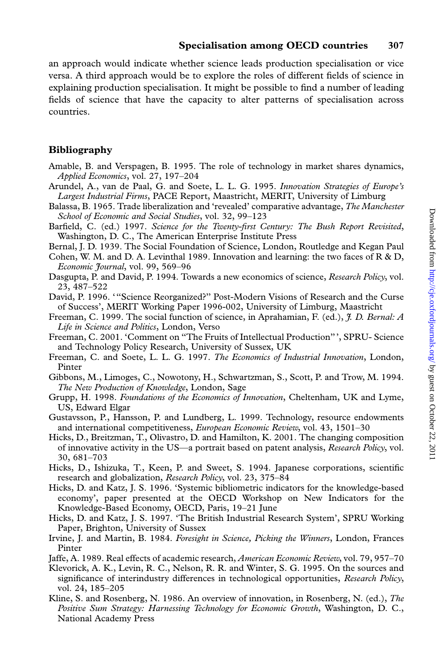an approach would indicate whether science leads production specialisation or vice versa. A third approach would be to explore the roles of different fields of science in explaining production specialisation. It might be possible to find a number of leading fields of science that have the capacity to alter patterns of specialisation across countries.

#### Bibliography

- Amable, B. and Verspagen, B. 1995. The role of technology in market shares dynamics, Applied Economics, vol. 27, 197–204
- Arundel, A., van de Paal, G. and Soete, L. L. G. 1995. Innovation Strategies of Europe's Largest Industrial Firms, PACE Report, Maastricht, MERIT, University of Limburg
- Balassa, B. 1965. Trade liberalization and 'revealed' comparative advantage, The Manchester School of Economic and Social Studies, vol. 32, 99–123
- Barfield, C. (ed.) 1997. Science for the Twenty-first Century: The Bush Report Revisited, Washington, D. C., The American Enterprise Institute Press
- Bernal, J. D. 1939. The Social Foundation of Science, London, Routledge and Kegan Paul
- Cohen, W. M. and D. A. Levinthal 1989. Innovation and learning: the two faces of  $R \& D$ , Economic Journal, vol. 99, 569–96
- Dasgupta, P. and David, P. 1994. Towards a new economics of science, Research Policy, vol. 23, 487–522
- David, P. 1996. "Science Reorganized?" Post-Modern Visions of Research and the Curse of Success', MERIT Working Paper 1996-002, University of Limburg, Maastricht
- Freeman, C. 1999. The social function of science, in Aprahamian, F. (ed.), J. D. Bernal: A Life in Science and Politics, London, Verso
- Freeman, C. 2001. 'Comment on ''The Fruits of Intellectual Production''', SPRU- Science and Technology Policy Research, University of Sussex, UK
- Freeman, C. and Soete, L. L. G. 1997. The Economics of Industrial Innovation, London, Pinter
- Gibbons, M., Limoges, C., Nowotony, H., Schwartzman, S., Scott, P. and Trow, M. 1994. The New Production of Knowledge, London, Sage
- Grupp, H. 1998. Foundations of the Economics of Innovation, Cheltenham, UK and Lyme, US, Edward Elgar
- Gustavsson, P., Hansson, P. and Lundberg, L. 1999. Technology, resource endowments and international competitiveness, European Economic Review, vol. 43, 1501–30
- Hicks, D., Breitzman, T., Olivastro, D. and Hamilton, K. 2001. The changing composition of innovative activity in the US—a portrait based on patent analysis, Research Policy, vol. 30, 681–703
- Hicks, D., Ishizuka, T., Keen, P. and Sweet, S. 1994. Japanese corporations, scientific research and globalization, Research Policy, vol. 23, 375–84
- Hicks, D. and Katz, J. S. 1996. 'Systemic bibliometric indicators for the knowledge-based economy', paper presented at the OECD Workshop on New Indicators for the Knowledge-Based Economy, OECD, Paris, 19–21 June
- Hicks, D. and Katz, J. S. 1997. 'The British Industrial Research System', SPRU Working Paper, Brighton, University of Sussex
- Irvine, J. and Martin, B. 1984. Foresight in Science, Picking the Winners, London, Frances Pinter
- Jaffe, A. 1989. Real effects of academic research, American Economic Review, vol. 79, 957–70
- Klevorick, A. K., Levin, R. C., Nelson, R. R. and Winter, S. G. 1995. On the sources and significance of interindustry differences in technological opportunities, Research Policy, vol. 24, 185–205
- Kline, S. and Rosenberg, N. 1986. An overview of innovation, in Rosenberg, N. (ed.), The Positive Sum Strategy: Harnessing Technology for Economic Growth, Washington, D. C., National Academy Press